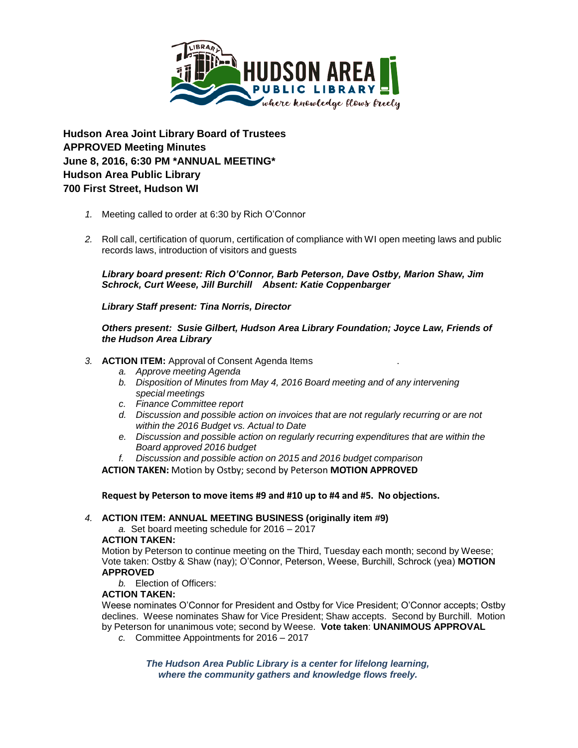

**Hudson Area Joint Library Board of Trustees APPROVED Meeting Minutes June 8, 2016, 6:30 PM \*ANNUAL MEETING\* Hudson Area Public Library 700 First Street, Hudson WI** 

- *1.* Meeting called to order at 6:30 by Rich O'Connor
- *2.* Roll call, certification of quorum, certification of compliance with WI open meeting laws and public records laws, introduction of visitors and guests

*Library board present: Rich O'Connor, Barb Peterson, Dave Ostby, Marion Shaw, Jim Schrock, Curt Weese, Jill Burchill Absent: Katie Coppenbarger* 

*Library Staff present: Tina Norris, Director*

*Others present: Susie Gilbert, Hudson Area Library Foundation; Joyce Law, Friends of the Hudson Area Library*

### *3.* **ACTION ITEM:** Approval of Consent Agenda Items .

- *a. Approve meeting Agenda*
- *b. Disposition of Minutes from May 4, 2016 Board meeting and of any intervening special meetings*
- *c. Finance Committee report*
- *d. Discussion and possible action on invoices that are not regularly recurring or are not within the 2016 Budget vs. Actual to Date*
- *e. Discussion and possible action on regularly recurring expenditures that are within the Board approved 2016 budget*
- *f. Discussion and possible action on 2015 and 2016 budget comparison*

**ACTION TAKEN:** Motion by Ostby; second by Peterson **MOTION APPROVED**

**Request by Peterson to move items #9 and #10 up to #4 and #5. No objections.**

#### *4.* **ACTION ITEM: ANNUAL MEETING BUSINESS (originally item #9)**

*a.* Set board meeting schedule for 2016 – 2017 **ACTION TAKEN:**

Motion by Peterson to continue meeting on the Third, Tuesday each month; second by Weese; Vote taken: Ostby & Shaw (nay); O'Connor, Peterson, Weese, Burchill, Schrock (yea) **MOTION APPROVED**

*b.* Election of Officers:

## **ACTION TAKEN:**

Weese nominates O'Connor for President and Ostby for Vice President; O'Connor accepts; Ostby declines. Weese nominates Shaw for Vice President; Shaw accepts. Second by Burchill. Motion by Peterson for unanimous vote; second by Weese. **Vote taken**: **UNANIMOUS APPROVAL**

*c.* Committee Appointments for 2016 – 2017

*The Hudson Area Public Library is a center for lifelong learning, where the community gathers and knowledge flows freely.*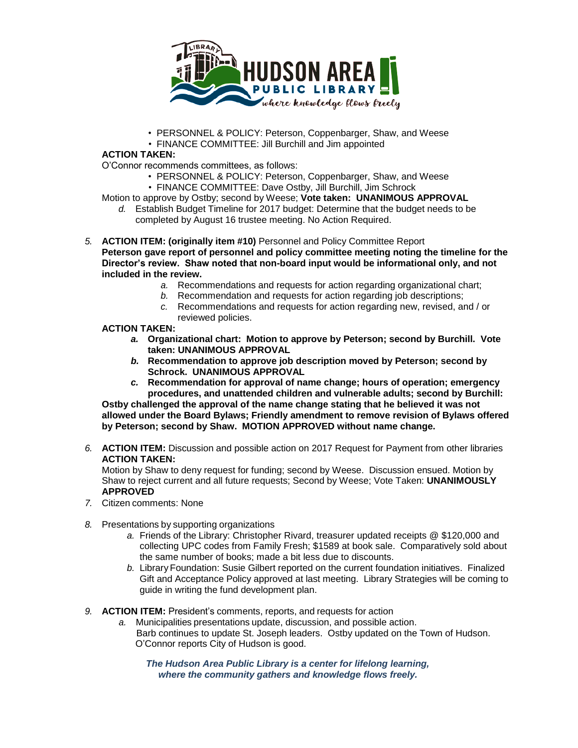

- PERSONNEL & POLICY: Peterson, Coppenbarger, Shaw, and Weese
- FINANCE COMMITTEE: Jill Burchill and Jim appointed

# **ACTION TAKEN:**

O'Connor recommends committees, as follows:

- PERSONNEL & POLICY: Peterson, Coppenbarger, Shaw, and Weese
- FINANCE COMMITTEE: Dave Ostby, Jill Burchill, Jim Schrock

Motion to approve by Ostby; second by Weese; **Vote taken: UNANIMOUS APPROVAL**

- *d.* Establish Budget Timeline for 2017 budget: Determine that the budget needs to be completed by August 16 trustee meeting. No Action Required.
- *5.* **ACTION ITEM: (originally item #10)** Personnel and Policy Committee Report **Peterson gave report of personnel and policy committee meeting noting the timeline for the Director's review. Shaw noted that non-board input would be informational only, and not included in the review.**
	- *a.* Recommendations and requests for action regarding organizational chart;
	- *b.* Recommendation and requests for action regarding job descriptions;
	- *c.* Recommendations and requests for action regarding new, revised, and / or reviewed policies.

# **ACTION TAKEN:**

- *a.* **Organizational chart: Motion to approve by Peterson; second by Burchill. Vote taken: UNANIMOUS APPROVAL**
- *b.* **Recommendation to approve job description moved by Peterson; second by Schrock. UNANIMOUS APPROVAL**
- *c.* **Recommendation for approval of name change; hours of operation; emergency procedures, and unattended children and vulnerable adults; second by Burchill:**

**Ostby challenged the approval of the name change stating that he believed it was not allowed under the Board Bylaws; Friendly amendment to remove revision of Bylaws offered by Peterson; second by Shaw. MOTION APPROVED without name change.**

*6.* **ACTION ITEM:** Discussion and possible action on 2017 Request for Payment from other libraries **ACTION TAKEN:** 

Motion by Shaw to deny request for funding; second by Weese. Discussion ensued. Motion by Shaw to reject current and all future requests; Second by Weese; Vote Taken: **UNANIMOUSLY APPROVED**

- *7.* Citizen comments: None
- *8.* Presentations by supporting organizations
	- *a.* Friends of the Library: Christopher Rivard, treasurer updated receipts @ \$120,000 and collecting UPC codes from Family Fresh; \$1589 at book sale. Comparatively sold about the same number of books; made a bit less due to discounts.
	- *b.* Library Foundation: Susie Gilbert reported on the current foundation initiatives. Finalized Gift and Acceptance Policy approved at last meeting. Library Strategies will be coming to guide in writing the fund development plan.
- *9.* **ACTION ITEM:** President's comments, reports, and requests for action
	- *a.* Municipalities presentations update, discussion, and possible action. Barb continues to update St. Joseph leaders. Ostby updated on the Town of Hudson. O'Connor reports City of Hudson is good.

*The Hudson Area Public Library is a center for lifelong learning, where the community gathers and knowledge flows freely.*